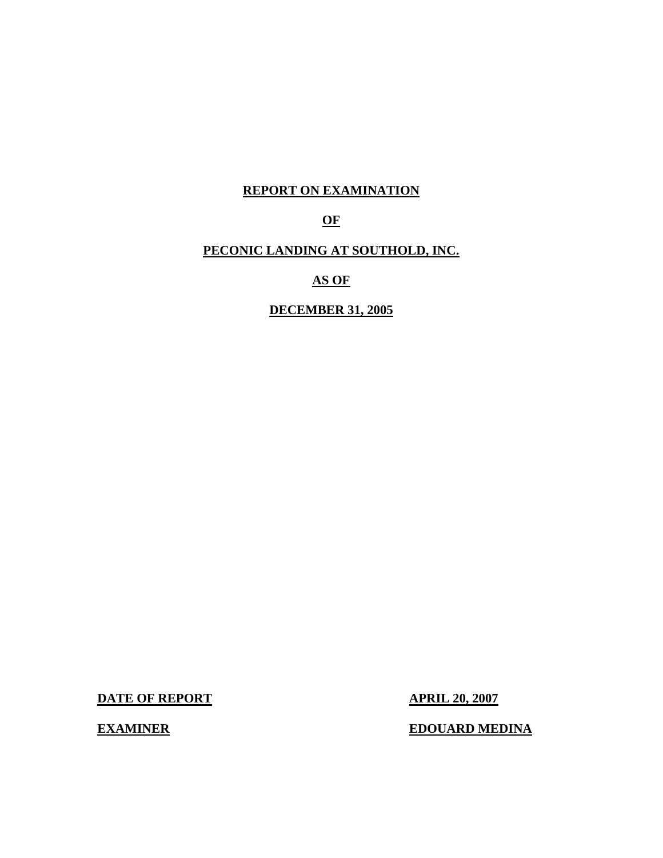## **REPORT ON EXAMINATION**

# **OF**

## **PECONIC LANDING AT SOUTHOLD, INC.**

**AS OF** 

**DECEMBER 31, 2005** 

**DATE OF REPORT APRIL 20, 2007** 

**EXAMINER EDOUARD MEDINA**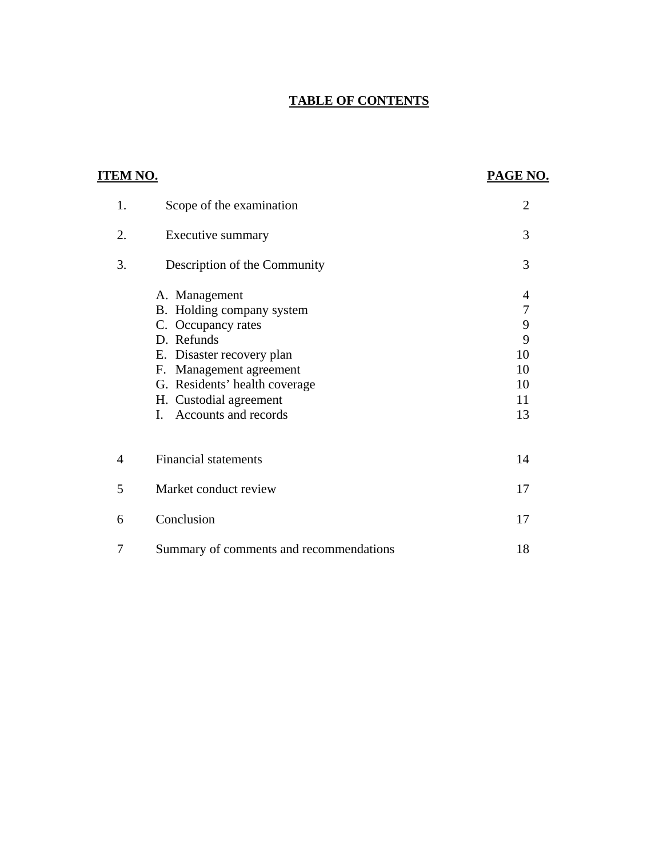# **TABLE OF CONTENTS**

| <u>ITEM NO.</u> |                                                                                                                                                                                                                                           | PAGE NO.                                                                              |
|-----------------|-------------------------------------------------------------------------------------------------------------------------------------------------------------------------------------------------------------------------------------------|---------------------------------------------------------------------------------------|
| 1.              | Scope of the examination                                                                                                                                                                                                                  | $\overline{2}$                                                                        |
| 2.              | Executive summary                                                                                                                                                                                                                         | 3                                                                                     |
| 3.              | Description of the Community                                                                                                                                                                                                              | 3                                                                                     |
|                 | A. Management<br>B. Holding company system<br>C. Occupancy rates<br>D. Refunds<br>E. Disaster recovery plan<br>F. Management agreement<br>G. Residents' health coverage<br>H. Custodial agreement<br>Accounts and records<br>$\mathbf{L}$ | $\overline{4}$<br>$\overline{7}$<br>$\overline{9}$<br>9<br>10<br>10<br>10<br>11<br>13 |
| $\overline{4}$  | <b>Financial statements</b>                                                                                                                                                                                                               | 14                                                                                    |
| 5               | Market conduct review                                                                                                                                                                                                                     | 17                                                                                    |
| 6               | Conclusion                                                                                                                                                                                                                                | 17                                                                                    |
| 7               | Summary of comments and recommendations                                                                                                                                                                                                   | 18                                                                                    |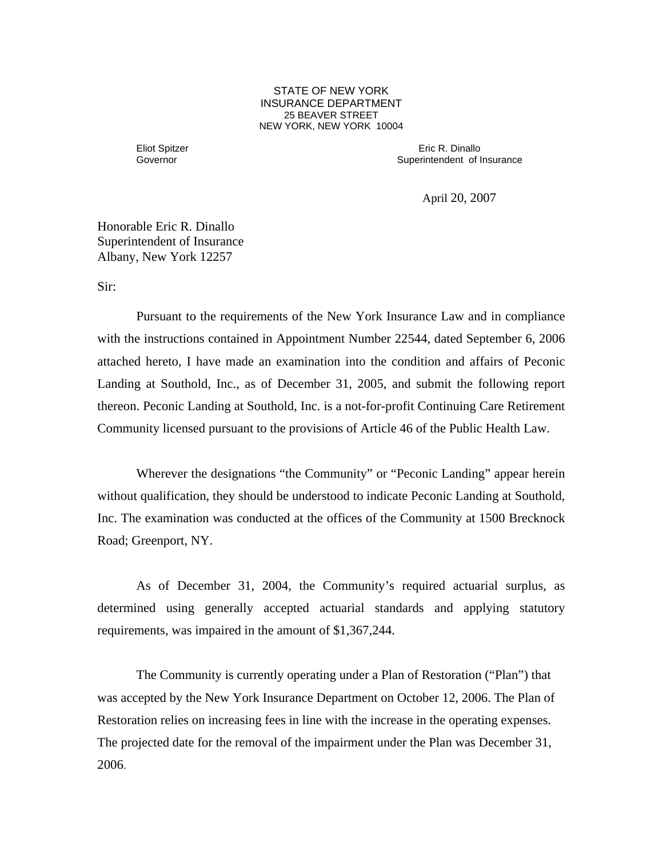**25 BEAVER STREET** STATE OF NEW YORK INSURANCE DEPARTMENT NEW YORK, NEW YORK 10004

 Governor Eliot Spitzer

 Eric R. Dinallo Superintendent of Insurance

April 20, 2007

Honorable Eric R. Dinallo Superintendent of Insurance Albany, New York 12257

Sir:

 Community licensed pursuant to the provisions of Article 46 of the Public Health Law. Wherever the designations "the Community" or "Peconic Landing" appear herein Pursuant to the requirements of the New York Insurance Law and in compliance with the instructions contained in Appointment Number 22544, dated September 6, 2006 attached hereto, I have made an examination into the condition and affairs of Peconic Landing at Southold, Inc., as of December 31, 2005, and submit the following report thereon. Peconic Landing at Southold, Inc. is a not-for-profit Continuing Care Retirement

without qualification, they should be understood to indicate Peconic Landing at Southold, Inc. The examination was conducted at the offices of the Community at 1500 Brecknock Road; Greenport, NY.

As of December 31, 2004, the Community's required actuarial surplus, as determined using generally accepted actuarial standards and applying statutory requirements, was impaired in the amount of \$1,367,244.

The Community is currently operating under a Plan of Restoration ("Plan") that was accepted by the New York Insurance Department on October 12, 2006. The Plan of Restoration relies on increasing fees in line with the increase in the operating expenses. The projected date for the removal of the impairment under the Plan was December 31, 2006.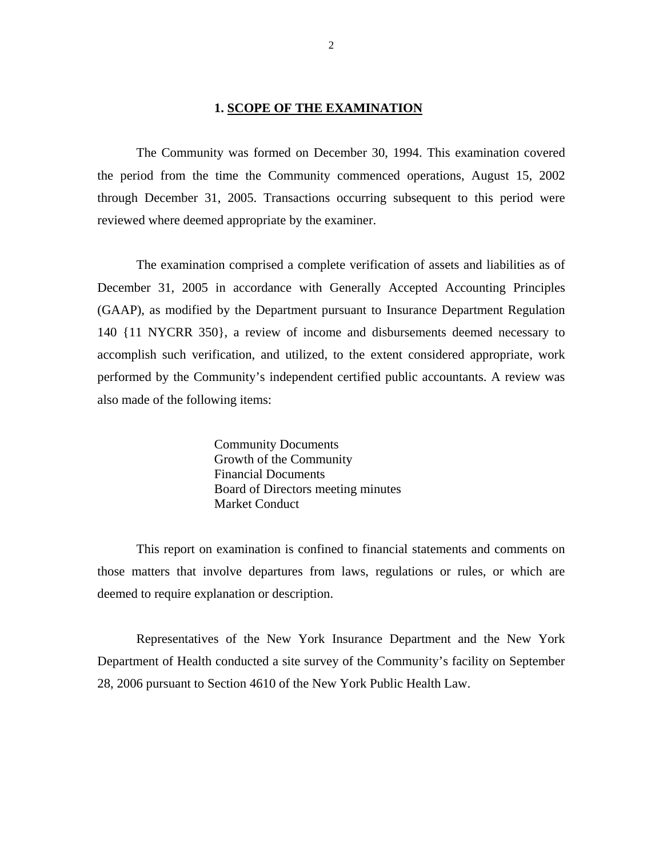#### **1. SCOPE OF THE EXAMINATION**

<span id="page-3-0"></span>The Community was formed on December 30, 1994. This examination covered the period from the time the Community commenced operations, August 15, 2002 through December 31, 2005. Transactions occurring subsequent to this period were reviewed where deemed appropriate by the examiner.

The examination comprised a complete verification of assets and liabilities as of December 31, 2005 in accordance with Generally Accepted Accounting Principles (GAAP), as modified by the Department pursuant to Insurance Department Regulation 140 {11 NYCRR 350}, a review of income and disbursements deemed necessary to accomplish such verification, and utilized, to the extent considered appropriate, work performed by the Community's independent certified public accountants. A review was also made of the following items:

> Community Documents Growth of the Community Financial Documents Board of Directors meeting minutes Market Conduct

This report on examination is confined to financial statements and comments on those matters that involve departures from laws, regulations or rules, or which are deemed to require explanation or description.

Representatives of the New York Insurance Department and the New York Department of Health conducted a site survey of the Community's facility on September 28, 2006 pursuant to Section 4610 of the New York Public Health Law.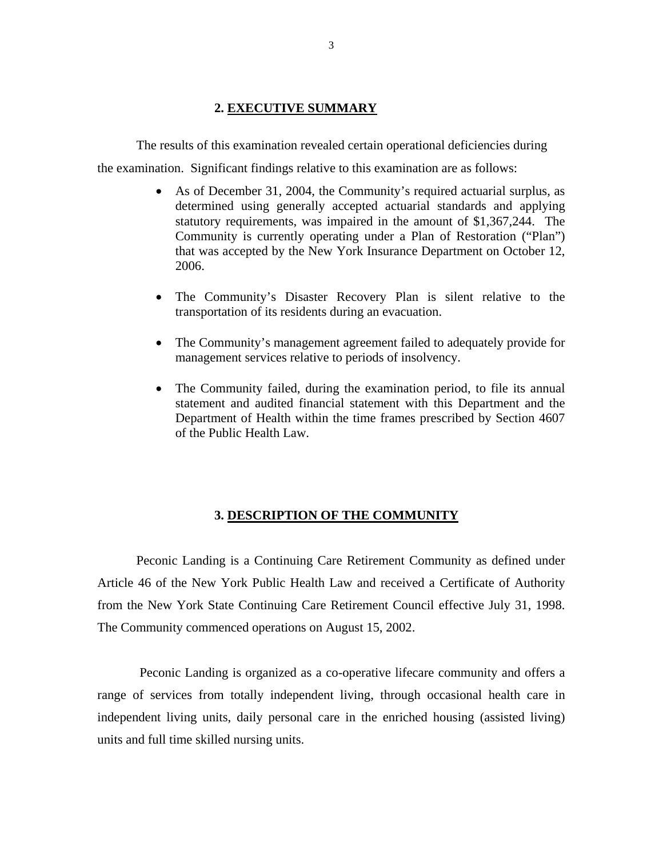## **2. EXECUTIVE SUMMARY**

<span id="page-4-0"></span>The results of this examination revealed certain operational deficiencies during

the examination. Significant findings relative to this examination are as follows:

- As of December 31, 2004, the Community's required actuarial surplus, as determined using generally accepted actuarial standards and applying statutory requirements, was impaired in the amount of \$1,367,244. The Community is currently operating under a Plan of Restoration ("Plan") that was accepted by the New York Insurance Department on October 12, 2006.
- The Community's Disaster Recovery Plan is silent relative to the transportation of its residents during an evacuation.
- The Community's management agreement failed to adequately provide for management services relative to periods of insolvency.
- of the Public Health Law. • The Community failed, during the examination period, to file its annual statement and audited financial statement with this Department and the Department of Health within the time frames prescribed by Section 4607

#### **3. DESCRIPTION OF THE COMMUNITY**

Peconic Landing is a Continuing Care Retirement Community as defined under Article 46 of the New York Public Health Law and received a Certificate of Authority from the New York State Continuing Care Retirement Council effective July 31, 1998. The Community commenced operations on August 15, 2002.

Peconic Landing is organized as a co-operative lifecare community and offers a range of services from totally independent living, through occasional health care in independent living units, daily personal care in the enriched housing (assisted living) units and full time skilled nursing units.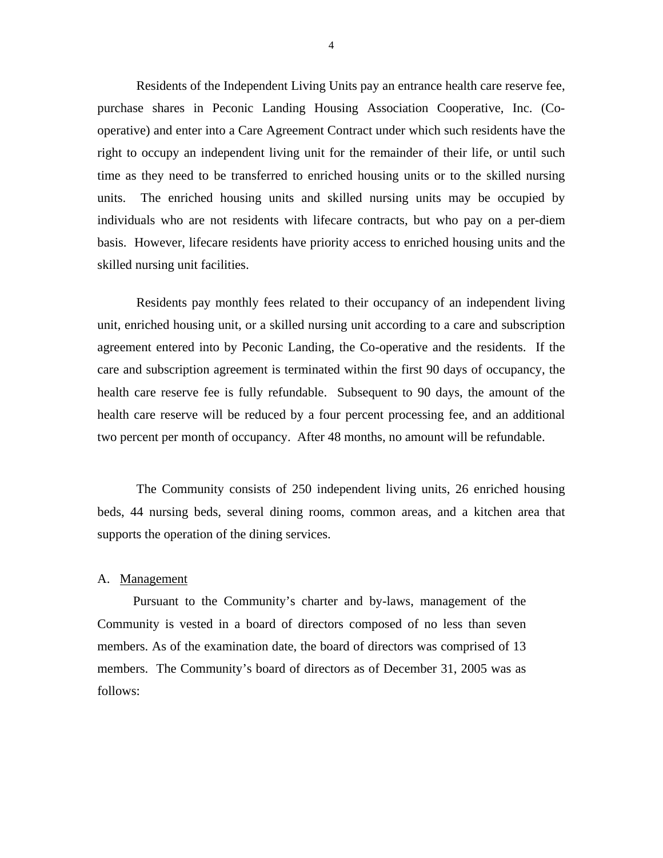<span id="page-5-0"></span>Residents of the Independent Living Units pay an entrance health care reserve fee, purchase shares in Peconic Landing Housing Association Cooperative, Inc. (Cooperative) and enter into a Care Agreement Contract under which such residents have the right to occupy an independent living unit for the remainder of their life, or until such time as they need to be transferred to enriched housing units or to the skilled nursing units. The enriched housing units and skilled nursing units may be occupied by individuals who are not residents with lifecare contracts, but who pay on a per-diem basis. However, lifecare residents have priority access to enriched housing units and the skilled nursing unit facilities.

Residents pay monthly fees related to their occupancy of an independent living unit, enriched housing unit, or a skilled nursing unit according to a care and subscription agreement entered into by Peconic Landing, the Co-operative and the residents. If the care and subscription agreement is terminated within the first 90 days of occupancy, the health care reserve fee is fully refundable. Subsequent to 90 days, the amount of the health care reserve will be reduced by a four percent processing fee, and an additional two percent per month of occupancy. After 48 months, no amount will be refundable.

The Community consists of 250 independent living units, 26 enriched housing beds, 44 nursing beds, several dining rooms, common areas, and a kitchen area that supports the operation of the dining services.

#### A. Management

Pursuant to the Community's charter and by-laws, management of the Community is vested in a board of directors composed of no less than seven members. As of the examination date, the board of directors was comprised of 13 members. The Community's board of directors as of December 31, 2005 was as follows: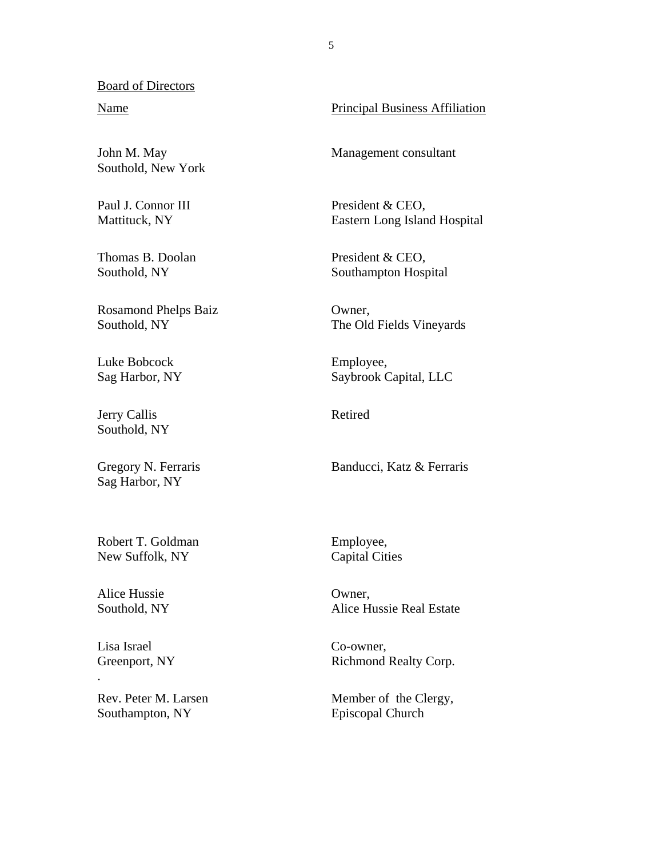#### Board of Directors

Southold, New York

Paul J. Connor III Mattituck, NY

Thomas B. Doolan Southold, NY

Rosamond Phelps Baiz Southold, NY

Luke Bobcock Sag Harbor, NY

Jerry Callis Southold, NY

Gregory N. Ferraris Sag Harbor, NY

Robert T. Goldman New Suffolk, NY

Alice Hussie Southold, NY

Lisa Israel Greenport, NY

.

Rev. Peter M. Larsen Southampton, NY

**Principal Business Affiliation** Name Principal Business Affiliation<br>John M. May Management consultant

Management consultant

President & CEO, Eastern Long Island Hospital

 President & CEO, Southampton Hospital

Owner, The Old Fields Vineyards

 Employee, Saybrook Capital, LLC

Retired

Banducci, Katz & Ferraris

 Employee, Capital Cities

Owner, Alice Hussie Real Estate

Co-owner, Richmond Realty Corp.

Member of the Clergy, Episcopal Church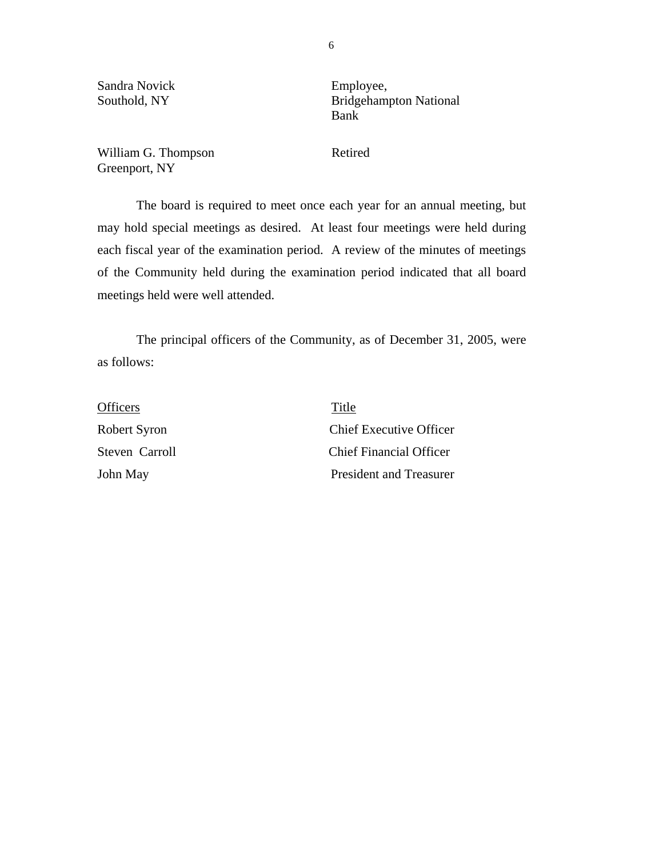Sandra Novick Employee,

Southold, NY Bridgehampton National Bank Bank

William G. Thompson Retired Greenport, NY

The board is required to meet once each year for an annual meeting, but may hold special meetings as desired. At least four meetings were held during each fiscal year of the examination period. A review of the minutes of meetings of the Community held during the examination period indicated that all board meetings held were well attended.

The principal officers of the Community, as of December 31, 2005, were as follows:

| <b>Officers</b> | Title                          |
|-----------------|--------------------------------|
| Robert Syron    | <b>Chief Executive Officer</b> |
| Steven Carroll  | <b>Chief Financial Officer</b> |
| John May        | President and Treasurer        |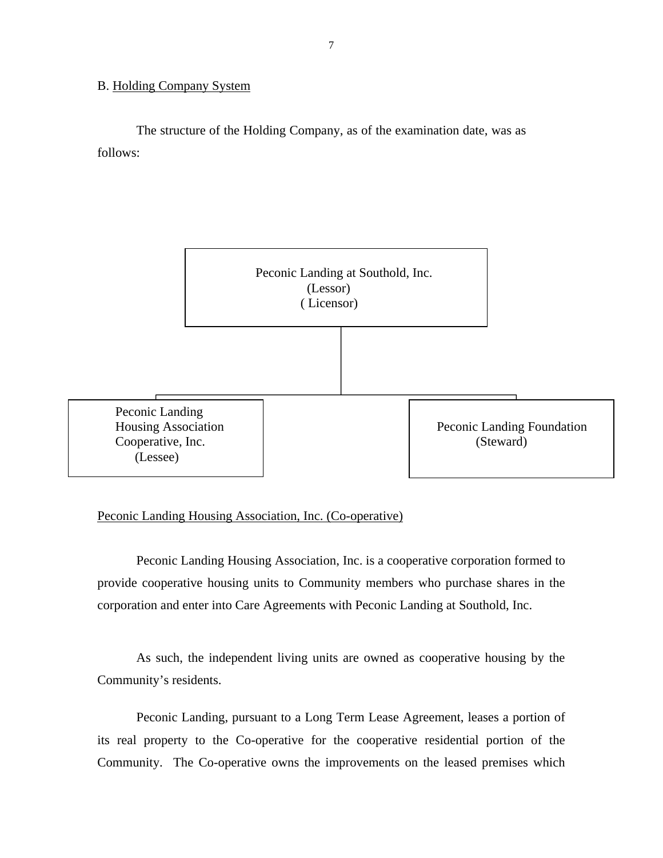#### <span id="page-8-0"></span>B. Holding Company System

The structure of the Holding Company, as of the examination date, was as follows:



#### Peconic Landing Housing Association, Inc. (Co-operative)

Peconic Landing Housing Association, Inc. is a cooperative corporation formed to provide cooperative housing units to Community members who purchase shares in the corporation and enter into Care Agreements with Peconic Landing at Southold, Inc.

As such, the independent living units are owned as cooperative housing by the Community's residents.

Peconic Landing, pursuant to a Long Term Lease Agreement, leases a portion of its real property to the Co-operative for the cooperative residential portion of the Community. The Co-operative owns the improvements on the leased premises which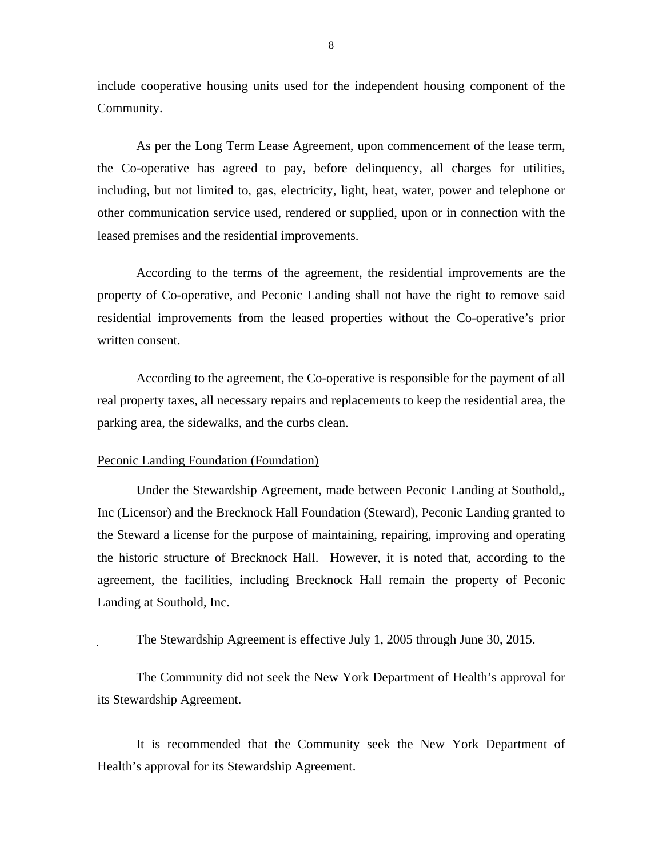include cooperative housing units used for the independent housing component of the Community.

As per the Long Term Lease Agreement, upon commencement of the lease term, the Co-operative has agreed to pay, before delinquency, all charges for utilities, including, but not limited to, gas, electricity, light, heat, water, power and telephone or other communication service used, rendered or supplied, upon or in connection with the leased premises and the residential improvements.

According to the terms of the agreement, the residential improvements are the property of Co-operative, and Peconic Landing shall not have the right to remove said residential improvements from the leased properties without the Co-operative's prior written consent.

According to the agreement, the Co-operative is responsible for the payment of all real property taxes, all necessary repairs and replacements to keep the residential area, the parking area, the sidewalks, and the curbs clean.

#### Peconic Landing Foundation (Foundation)

Under the Stewardship Agreement, made between Peconic Landing at Southold,, Inc (Licensor) and the Brecknock Hall Foundation (Steward), Peconic Landing granted to the Steward a license for the purpose of maintaining, repairing, improving and operating the historic structure of Brecknock Hall. However, it is noted that, according to the agreement, the facilities, including Brecknock Hall remain the property of Peconic Landing at Southold, Inc.

The Stewardship Agreement is effective July 1, 2005 through June 30, 2015.

The Community did not seek the New York Department of Health's approval for its Stewardship Agreement.

It is recommended that the Community seek the New York Department of Health's approval for its Stewardship Agreement.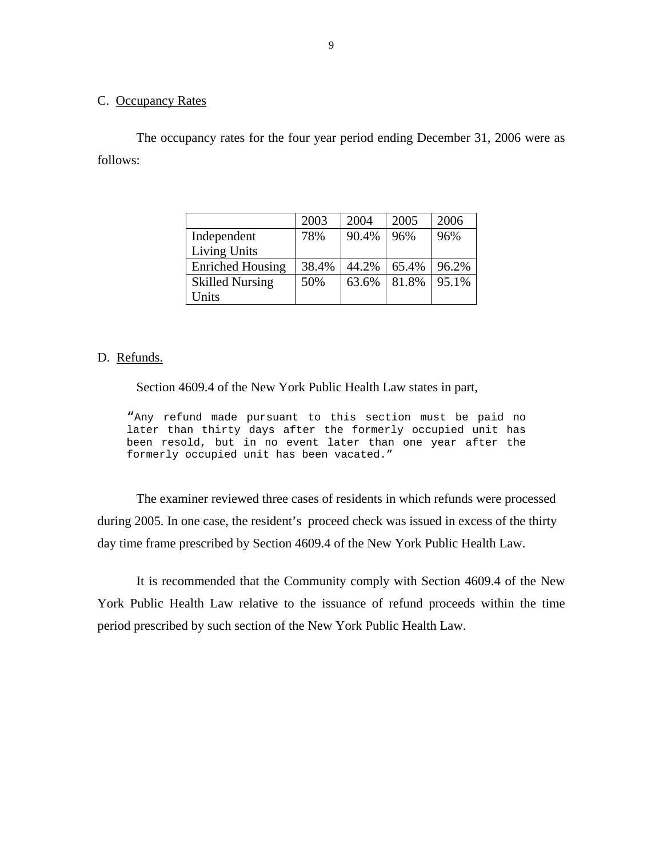#### C. Occupancy Rates

The occupancy rates for the four year period ending December 31, 2006 were as follows:

|                         | 2003  | 2004  | 2005  | 2006  |
|-------------------------|-------|-------|-------|-------|
| Independent             | 78%   | 90.4% | 96%   | 96%   |
| <b>Living Units</b>     |       |       |       |       |
| <b>Enriched Housing</b> | 38.4% | 44.2% | 65.4% | 96.2% |
| <b>Skilled Nursing</b>  | 50%   | 63.6% | 81.8% | 95.1% |
| Units                   |       |       |       |       |

#### D. Refunds.

Section 4609.4 of the New York Public Health Law states in part,

"Any refund made pursuant to this section must be paid no later than thirty days after the formerly occupied unit has been resold, but in no event later than one year after the formerly occupied unit has been vacated."

The examiner reviewed three cases of residents in which refunds were processed during 2005. In one case, the resident's proceed check was issued in excess of the thirty day time frame prescribed by Section 4609.4 of the New York Public Health Law.

It is recommended that the Community comply with Section 4609.4 of the New York Public Health Law relative to the issuance of refund proceeds within the time period prescribed by such section of the New York Public Health Law.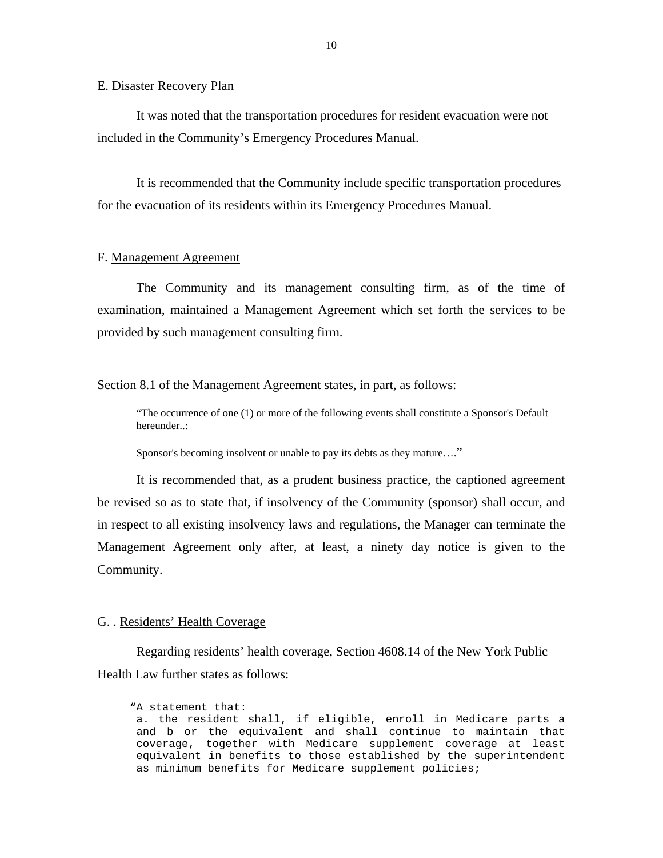<span id="page-11-0"></span>E. Disaster Recovery Plan

It was noted that the transportation procedures for resident evacuation were not included in the Community's Emergency Procedures Manual.

It is recommended that the Community include specific transportation procedures for the evacuation of its residents within its Emergency Procedures Manual.

#### F. Management Agreement

The Community and its management consulting firm, as of the time of examination, maintained a Management Agreement which set forth the services to be provided by such management consulting firm.

Section 8.1 of the Management Agreement states, in part, as follows:

"The occurrence of one (1) or more of the following events shall constitute a Sponsor's Default hereunder..:

Sponsor's becoming insolvent or unable to pay its debts as they mature...."

It is recommended that, as a prudent business practice, the captioned agreement be revised so as to state that, if insolvency of the Community (sponsor) shall occur, and in respect to all existing insolvency laws and regulations, the Manager can terminate the Management Agreement only after, at least, a ninety day notice is given to the Community.

#### G. . Residents' Health Coverage

Regarding residents' health coverage, Section 4608.14 of the New York Public Health Law further states as follows:

"A statement that: a. the resident shall, if eligible, enroll in Medicare parts a and b or the equivalent and shall continue to maintain that coverage, together with Medicare supplement coverage at least equivalent in benefits to those established by the superintendent as minimum benefits for Medicare supplement policies;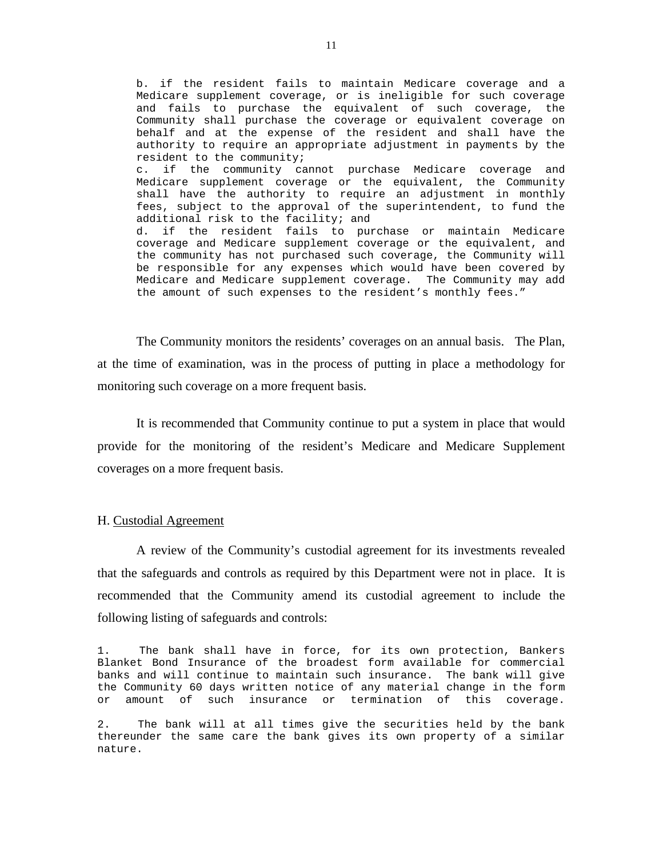<span id="page-12-0"></span>b. if the resident fails to maintain Medicare coverage and a Medicare supplement coverage, or is ineligible for such coverage and fails to purchase the equivalent of such coverage, the Community shall purchase the coverage or equivalent coverage on behalf and at the expense of the resident and shall have the authority to require an appropriate adjustment in payments by the resident to the community; c. if the community cannot purchase Medicare coverage and Medicare supplement coverage or the equivalent, the Community shall have the authority to require an adjustment in monthly fees, subject to the approval of the superintendent, to fund the additional risk to the facility; and d. if the resident fails to purchase or maintain Medicare coverage and Medicare supplement coverage or the equivalent, and the community has not purchased such coverage, the Community will be responsible for any expenses which would have been covered by Medicare and Medicare supplement coverage. The Community may add the amount of such expenses to the resident's monthly fees."

The Community monitors the residents' coverages on an annual basis. The Plan, at the time of examination, was in the process of putting in place a methodology for monitoring such coverage on a more frequent basis.

It is recommended that Community continue to put a system in place that would provide for the monitoring of the resident's Medicare and Medicare Supplement coverages on a more frequent basis.

#### H. Custodial Agreement

A review of the Community's custodial agreement for its investments revealed that the safeguards and controls as required by this Department were not in place. It is recommended that the Community amend its custodial agreement to include the following listing of safeguards and controls:

1. The bank shall have in force, for its own protection, Bankers Blanket Bond Insurance of the broadest form available for commercial banks and will continue to maintain such insurance. The bank will give the Community 60 days written notice of any material change in the form or amount of such insurance or termination of this coverage.

2. The bank will at all times give the securities held by the bank thereunder the same care the bank gives its own property of a similar nature.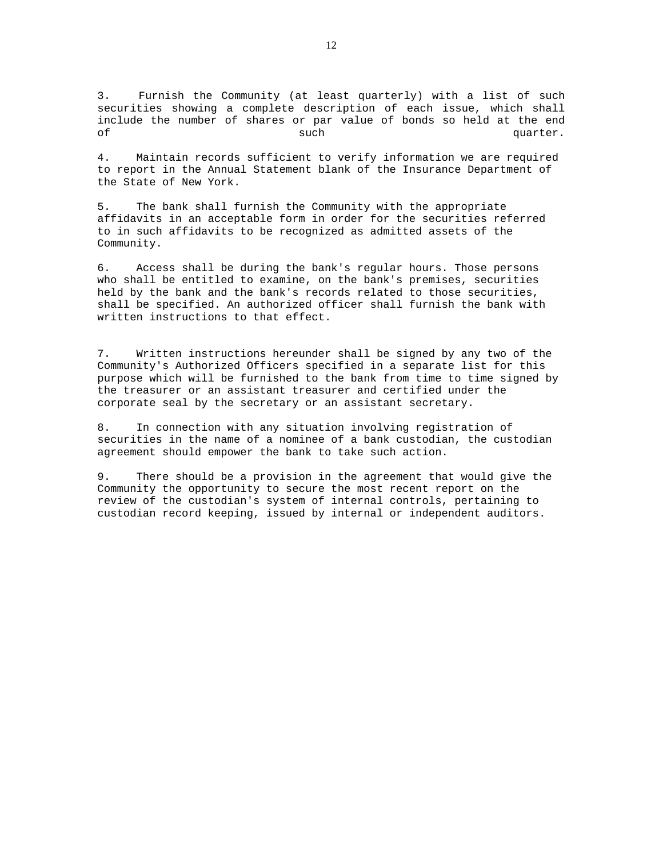3. Furnish the Community (at least quarterly) with a list of such securities showing a complete description of each issue, which shall include the number of shares or par value of bonds so held at the end of such such that  $\mathbf{S}$  such that  $\mathbf{S}$  and  $\mathbf{S}$  are  $\mathbf{S}$  and  $\mathbf{S}$  and  $\mathbf{S}$  are  $\mathbf{S}$  and  $\mathbf{S}$  are  $\mathbf{S}$  and  $\mathbf{S}$  are  $\mathbf{S}$  and  $\mathbf{S}$  are  $\mathbf{S}$  and  $\mathbf{S}$  are  $\mathbf{S}$  and  $\math$ 

4. Maintain records sufficient to verify information we are required to report in the Annual Statement blank of the Insurance Department of the State of New York.

5. The bank shall furnish the Community with the appropriate affidavits in an acceptable form in order for the securities referred to in such affidavits to be recognized as admitted assets of the Community.

6. Access shall be during the bank's regular hours. Those persons who shall be entitled to examine, on the bank's premises, securities held by the bank and the bank's records related to those securities, shall be specified. An authorized officer shall furnish the bank with written instructions to that effect.

7. Written instructions hereunder shall be signed by any two of the Community's Authorized Officers specified in a separate list for this purpose which will be furnished to the bank from time to time signed by the treasurer or an assistant treasurer and certified under the corporate seal by the secretary or an assistant secretary.

8. In connection with any situation involving registration of securities in the name of a nominee of a bank custodian, the custodian agreement should empower the bank to take such action.

9. There should be a provision in the agreement that would give the Community the opportunity to secure the most recent report on the review of the custodian's system of internal controls, pertaining to custodian record keeping, issued by internal or independent auditors.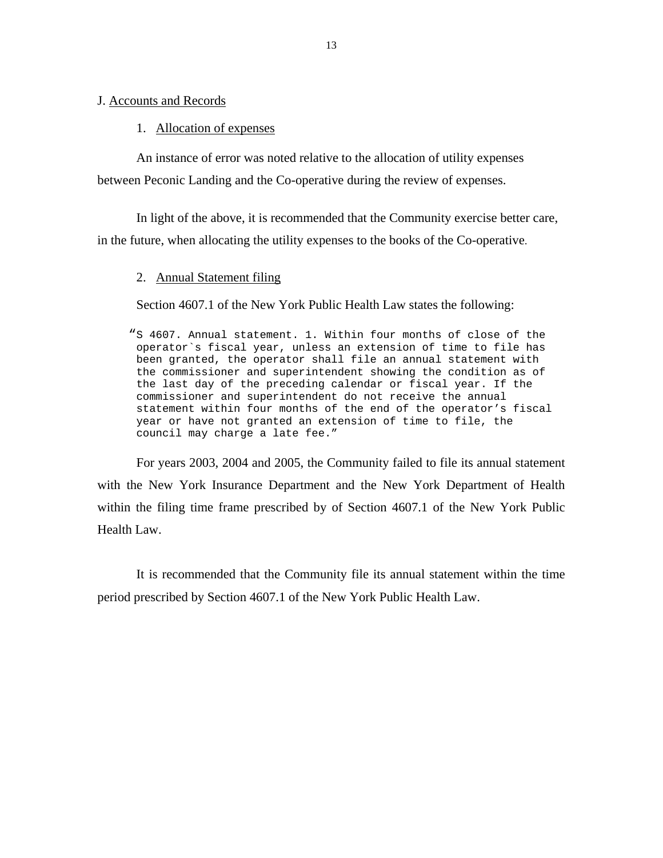#### <span id="page-14-0"></span>J. Accounts and Records

#### 1. Allocation of expenses

An instance of error was noted relative to the allocation of utility expenses between Peconic Landing and the Co-operative during the review of expenses.

In light of the above, it is recommended that the Community exercise better care, in the future, when allocating the utility expenses to the books of the Co-operative.

#### 2. Annual Statement filing

Section 4607.1 of the New York Public Health Law states the following:

"S 4607. Annual statement. 1. Within four months of close of the operator`s fiscal year, unless an extension of time to file has been granted, the operator shall file an annual statement with the commissioner and superintendent showing the condition as of the last day of the preceding calendar or fiscal year. If the commissioner and superintendent do not receive the annual statement within four months of the end of the operator's fiscal year or have not granted an extension of time to file, the council may charge a late fee."

For years 2003, 2004 and 2005, the Community failed to file its annual statement with the New York Insurance Department and the New York Department of Health within the filing time frame prescribed by of Section 4607.1 of the New York Public Health Law.

It is recommended that the Community file its annual statement within the time period prescribed by Section 4607.1 of the New York Public Health Law.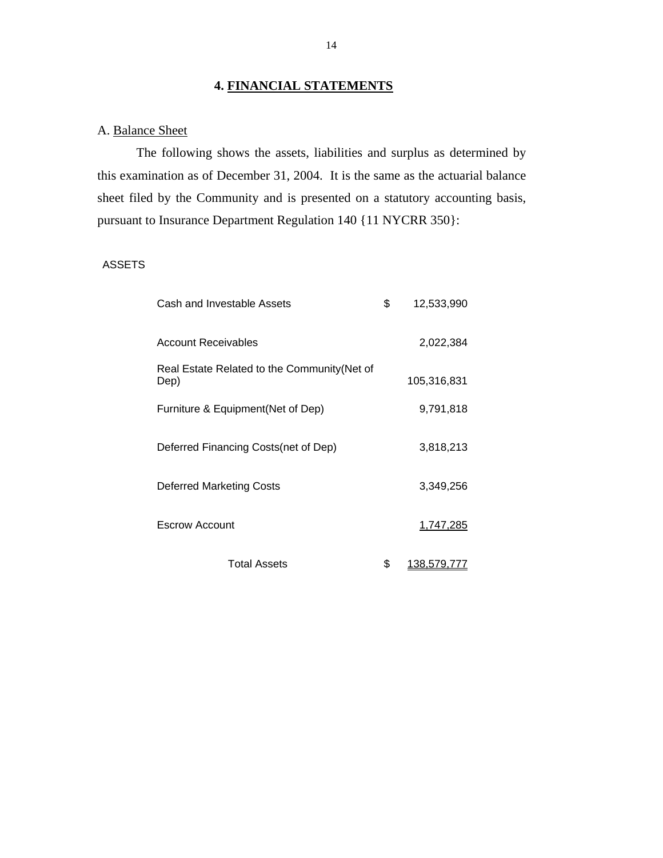## **4. FINANCIAL STATEMENTS**

## A. Balance Sheet

The following shows the assets, liabilities and surplus as determined by this examination as of December 31, 2004. It is the same as the actuarial balance sheet filed by the Community and is presented on a statutory accounting basis, pursuant to Insurance Department Regulation 140 {11 NYCRR 350}:

## ASSETS

| Cash and Investable Assets                           | \$<br>12,533,990  |
|------------------------------------------------------|-------------------|
| <b>Account Receivables</b>                           | 2,022,384         |
| Real Estate Related to the Community (Net of<br>Dep) | 105,316,831       |
| Furniture & Equipment (Net of Dep)                   | 9,791,818         |
| Deferred Financing Costs (net of Dep)                | 3,818,213         |
| <b>Deferred Marketing Costs</b>                      | 3,349,256         |
| Escrow Account                                       | 1,747,285         |
| <b>Total Assets</b>                                  | \$<br>138,579,777 |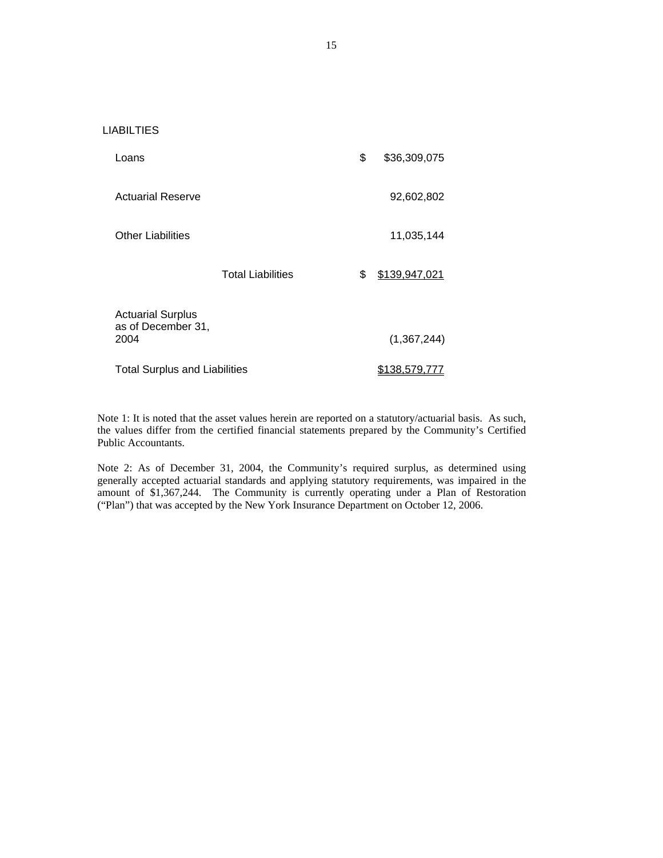#### LIABILTIES

| Loans                                                  |                          | \$<br>\$36,309,075   |
|--------------------------------------------------------|--------------------------|----------------------|
| Actuarial Reserve                                      |                          | 92,602,802           |
| <b>Other Liabilities</b>                               |                          | 11,035,144           |
|                                                        | <b>Total Liabilities</b> | \$<br>\$139,947,021  |
| <b>Actuarial Surplus</b><br>as of December 31,<br>2004 |                          | (1,367,244)          |
| <b>Total Surplus and Liabilities</b>                   |                          | <u>\$138,579,777</u> |

Note 1: It is noted that the asset values herein are reported on a statutory/actuarial basis. As such, the values differ from the certified financial statements prepared by the Community's Certified Public Accountants.

Note 2: As of December 31, 2004, the Community's required surplus, as determined using generally accepted actuarial standards and applying statutory requirements, was impaired in the amount of \$1,367,244. The Community is currently operating under a Plan of Restoration ("Plan") that was accepted by the New York Insurance Department on October 12, 2006.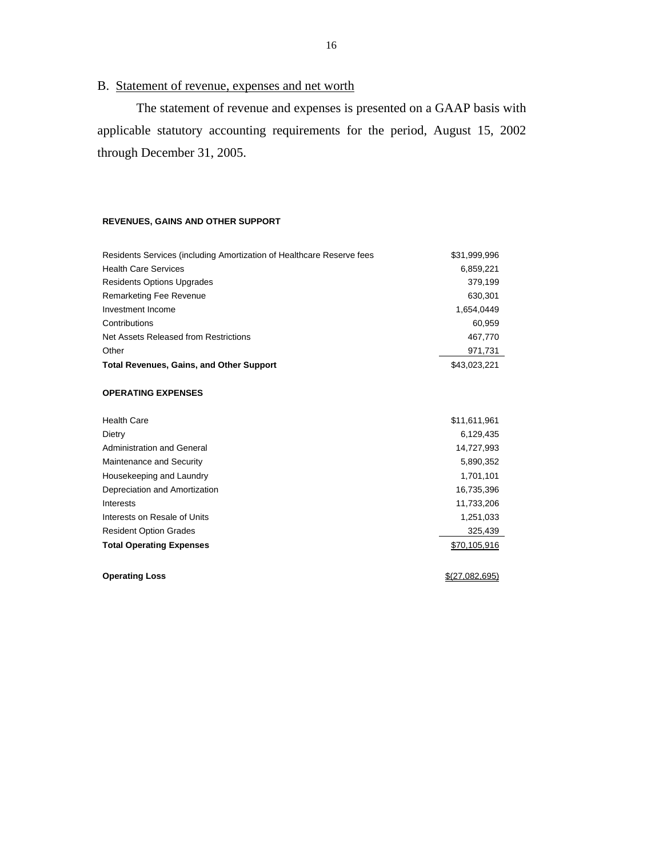# B. Statement of revenue, expenses and net worth

The statement of revenue and expenses is presented on a GAAP basis with applicable statutory accounting requirements for the period, August 15, 2002 through December 31, 2005.

#### **REVENUES, GAINS AND OTHER SUPPORT**

| Residents Services (including Amortization of Healthcare Reserve fees | \$31,999,996    |
|-----------------------------------------------------------------------|-----------------|
| <b>Health Care Services</b>                                           | 6,859,221       |
| <b>Residents Options Upgrades</b>                                     | 379,199         |
| Remarketing Fee Revenue                                               | 630,301         |
| Investment Income                                                     | 1,654,0449      |
| Contributions                                                         | 60,959          |
| Net Assets Released from Restrictions                                 | 467,770         |
| Other                                                                 | 971,731         |
| <b>Total Revenues, Gains, and Other Support</b>                       | \$43,023,221    |
| <b>OPERATING EXPENSES</b>                                             |                 |
| <b>Health Care</b>                                                    | \$11,611,961    |
| Dietry                                                                | 6.129,435       |
| Administration and General                                            | 14,727,993      |
| Maintenance and Security                                              | 5,890,352       |
| Housekeeping and Laundry                                              | 1,701,101       |
| Depreciation and Amortization                                         | 16,735,396      |
| Interests                                                             | 11,733,206      |
| Interests on Resale of Units                                          | 1,251,033       |
| <b>Resident Option Grades</b>                                         | 325,439         |
| <b>Total Operating Expenses</b>                                       | \$70,105,916    |
| <b>Operating Loss</b>                                                 | \$ (27.082.695) |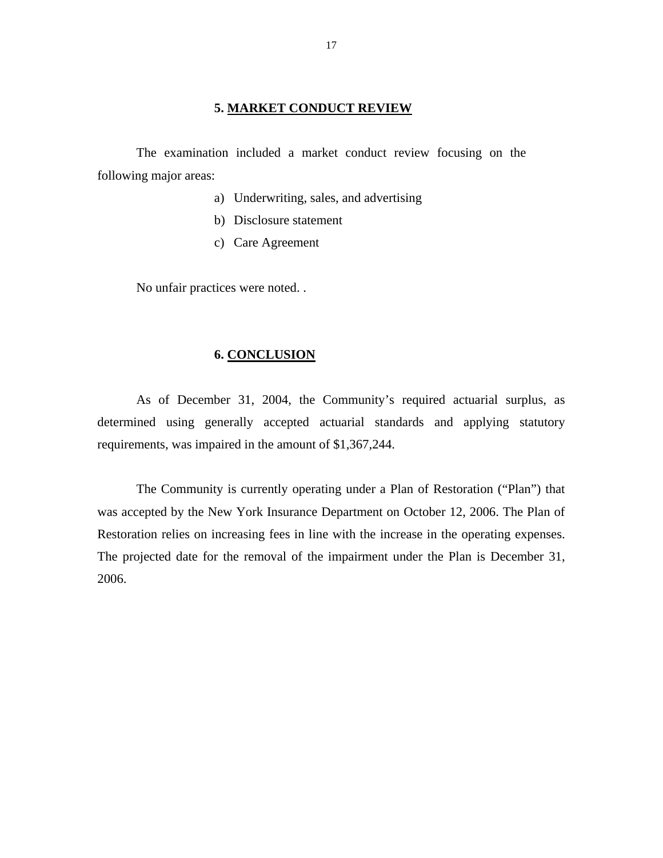#### **5. MARKET CONDUCT REVIEW**

<span id="page-18-0"></span>The examination included a market conduct review focusing on the following major areas:

- a) Underwriting, sales, and advertising
- b) Disclosure statement
- c) Care Agreement

No unfair practices were noted. .

#### **6. CONCLUSION**

As of December 31, 2004, the Community's required actuarial surplus, as determined using generally accepted actuarial standards and applying statutory requirements, was impaired in the amount of \$1,367,244.

The Community is currently operating under a Plan of Restoration ("Plan") that was accepted by the New York Insurance Department on October 12, 2006. The Plan of Restoration relies on increasing fees in line with the increase in the operating expenses. The projected date for the removal of the impairment under the Plan is December 31, 2006.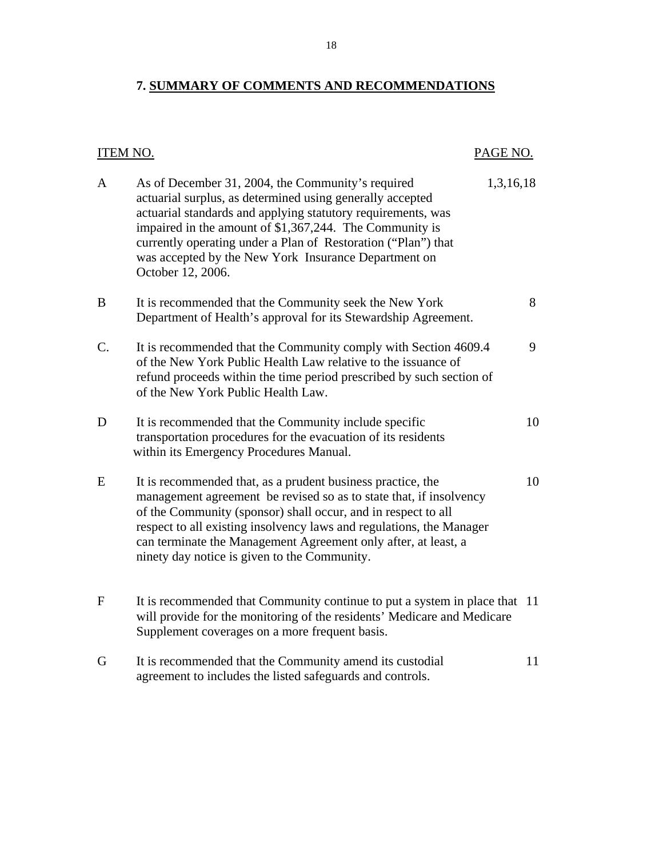## <span id="page-19-0"></span>**7. SUMMARY OF COMMENTS AND RECOMMENDATIONS**

# ITEM NO. PAGE NO. A As of December 31, 2004, the Community's required 1,3,16,18 actuarial surplus, as determined using generally accepted actuarial standards and applying statutory requirements, was impaired in the amount of \$1,367,244. The Community is currently operating under a Plan of Restoration ("Plan") that was accepted by the New York Insurance Department on October 12, 2006. B It is recommended that the Community seek the New York 8 Department of Health's approval for its Stewardship Agreement. C. It is recommended that the Community comply with Section 4609.4 9 of the New York Public Health Law relative to the issuance of refund proceeds within the time period prescribed by such section of of the New York Public Health Law. D It is recommended that the Community include specific 10 transportation procedures for the evacuation of its residents within its Emergency Procedures Manual. E It is recommended that, as a prudent business practice, the 10 management agreement be revised so as to state that, if insolvency of the Community (sponsor) shall occur, and in respect to all respect to all existing insolvency laws and regulations, the Manager can terminate the Management Agreement only after, at least, a ninety day notice is given to the Community. F It is recommended that Community continue to put a system in place that 11 will provide for the monitoring of the residents' Medicare and Medicare Supplement coverages on a more frequent basis. G It is recommended that the Community amend its custodial 11 agreement to includes the listed safeguards and controls.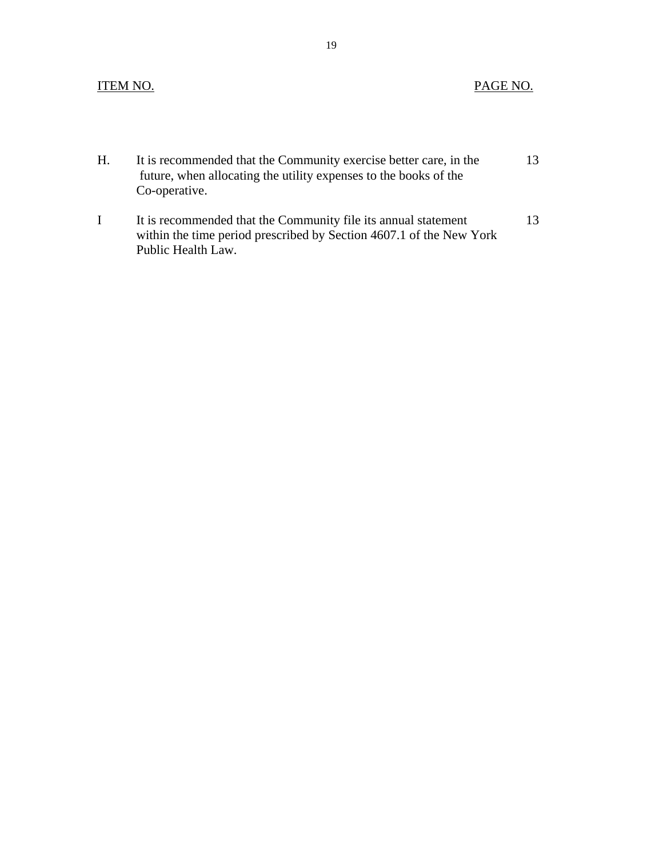## **ITEM NO.**

Public Health Law.

## PAGE NO.

| Н. | It is recommended that the Community exercise better care, in the<br>future, when allocating the utility expenses to the books of the<br>Co-operative. |    |
|----|--------------------------------------------------------------------------------------------------------------------------------------------------------|----|
|    | It is recommended that the Community file its annual statement<br>within the time period prescribed by Section 4607.1 of the New York                  | 13 |